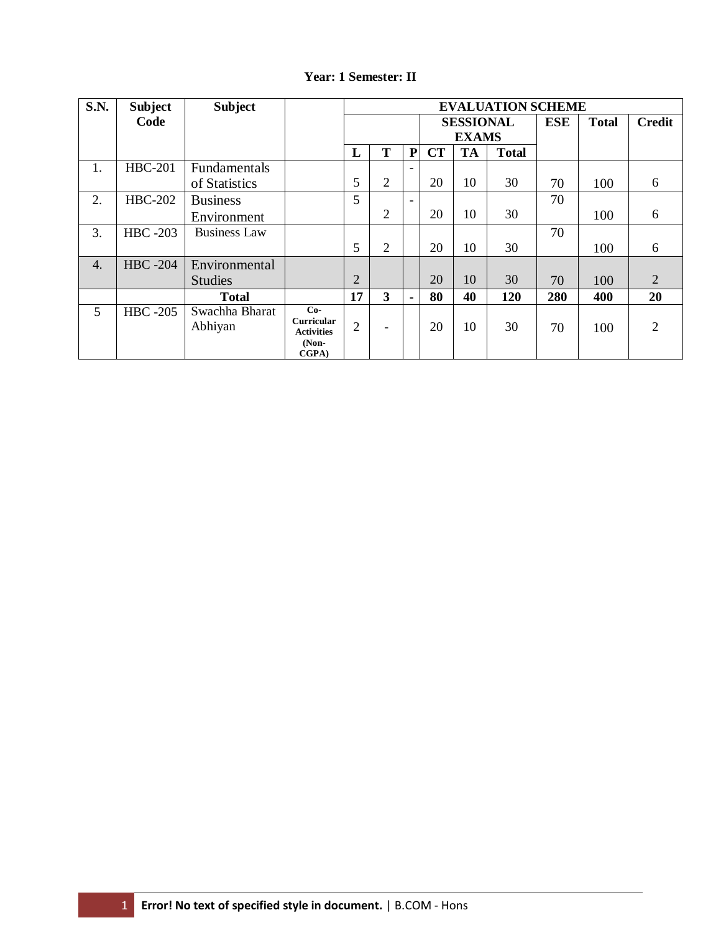| <b>S.N.</b>      | <b>Subject</b>  | <b>Subject</b>            |                                                                     | <b>EVALUATION SCHEME</b> |                          |                          |              |              |               |     |     |                |
|------------------|-----------------|---------------------------|---------------------------------------------------------------------|--------------------------|--------------------------|--------------------------|--------------|--------------|---------------|-----|-----|----------------|
|                  | Code            |                           |                                                                     | <b>SESSIONAL</b>         |                          |                          | <b>ESE</b>   | <b>Total</b> | <b>Credit</b> |     |     |                |
|                  |                 |                           |                                                                     |                          |                          |                          | <b>EXAMS</b> |              |               |     |     |                |
|                  |                 |                           |                                                                     | L                        | T                        | ${\bf P}$                | <b>CT</b>    | <b>TA</b>    | <b>Total</b>  |     |     |                |
| 1.               | <b>HBC-201</b>  | Fundamentals              |                                                                     |                          |                          | $\overline{\phantom{a}}$ |              |              |               |     |     |                |
|                  |                 | of Statistics             |                                                                     | 5                        | $\overline{2}$           |                          | 20           | 10           | 30            | 70  | 100 | 6              |
| 2.               | <b>HBC-202</b>  | <b>Business</b>           |                                                                     | 5                        |                          | $\overline{\phantom{0}}$ |              |              |               | 70  |     |                |
|                  |                 | Environment               |                                                                     |                          | $\overline{2}$           |                          | 20           | 10           | 30            |     | 100 | 6              |
| 3.               | <b>HBC</b> -203 | <b>Business Law</b>       |                                                                     |                          |                          |                          |              |              |               | 70  |     |                |
|                  |                 |                           |                                                                     | 5                        | $\overline{2}$           |                          | 20           | 10           | 30            |     | 100 | 6              |
| $\overline{4}$ . | <b>HBC</b> -204 | Environmental             |                                                                     |                          |                          |                          |              |              |               |     |     |                |
|                  |                 | <b>Studies</b>            |                                                                     | 2                        |                          |                          | 20           | 10           | 30            | 70  | 100 | 2              |
|                  |                 | <b>Total</b>              |                                                                     | 17                       | 3                        | $\blacksquare$           | 80           | 40           | 120           | 280 | 400 | 20             |
| 5                | <b>HBC</b> -205 | Swachha Bharat<br>Abhiyan | $Co-$<br><b>Curricular</b><br><b>Activities</b><br>$(Non-$<br>CGPA) | $\overline{2}$           | $\overline{\phantom{a}}$ |                          | 20           | 10           | 30            | 70  | 100 | $\overline{2}$ |

#### **Year: 1 Semester: II**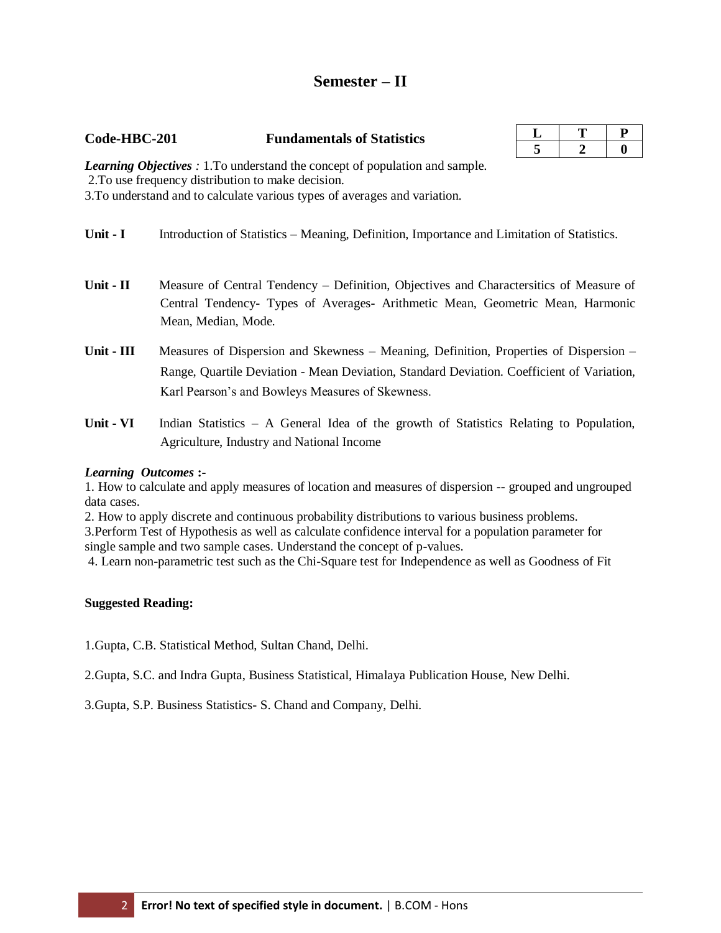# **Semester – II**

#### **Code-HBC-201 Fundamentals of Statistics**

*Learning Objectives :* 1.To understand the concept of population and sample. 2.To use frequency distribution to make decision. 3.To understand and to calculate various types of averages and variation.

- **Unit I** Introduction of Statistics Meaning, Definition, Importance and Limitation of Statistics.
- **Unit - II** Measure of Central Tendency Definition, Objectives and Charactersitics of Measure of Central Tendency- Types of Averages- Arithmetic Mean, Geometric Mean, Harmonic Mean, Median, Mode.
- **Unit - III** Measures of Dispersion and Skewness Meaning, Definition, Properties of Dispersion Range, Quartile Deviation - Mean Deviation, Standard Deviation. Coefficient of Variation, Karl Pearson's and Bowleys Measures of Skewness.
- **Unit - VI** Indian Statistics A General Idea of the growth of Statistics Relating to Population, Agriculture, Industry and National Income

#### *Learning Outcomes* **:-**

1. How to calculate and apply measures of location and measures of dispersion -- grouped and ungrouped data cases.

2. How to apply discrete and continuous probability distributions to various business problems.

3.Perform Test of Hypothesis as well as calculate confidence interval for a population parameter for single sample and two sample cases. Understand the concept of p-values.

4. Learn non-parametric test such as the Chi-Square test for Independence as well as Goodness of Fit

#### **Suggested Reading:**

1.Gupta, C.B. Statistical Method, Sultan Chand, Delhi.

2.Gupta, S.C. and Indra Gupta, Business Statistical, Himalaya Publication House, New Delhi.

3.Gupta, S.P. Business Statistics- S. Chand and Company, Delhi.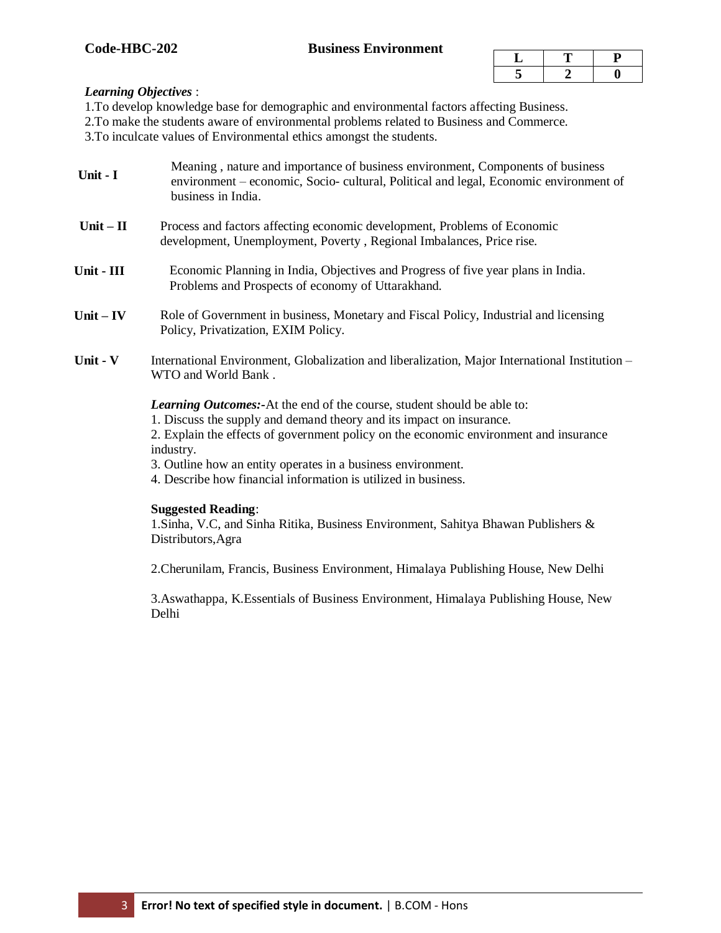#### *Learning Objectives* :

1.To develop knowledge base for demographic and environmental factors affecting Business.

2.To make the students aware of environmental problems related to Business and Commerce.

3.To inculcate values of Environmental ethics amongst the students.

- **Unit - I** Meaning , nature and importance of business environment, Components of business environment – economic, Socio- cultural, Political and legal, Economic environment of business in India.
- **Unit – II** Process and factors affecting economic development, Problems of Economic development, Unemployment, Poverty , Regional Imbalances, Price rise.
- **Unit - III** Economic Planning in India, Objectives and Progress of five year plans in India. Problems and Prospects of economy of Uttarakhand.
- **Unit – IV** Role of Government in business, Monetary and Fiscal Policy, Industrial and licensing Policy, Privatization, EXIM Policy.
- **Unit - V** International Environment, Globalization and liberalization, Major International Institution WTO and World Bank .

*Learning Outcomes:-*At the end of the course, student should be able to:

1. Discuss the supply and demand theory and its impact on insurance.

2. Explain the effects of government policy on the economic environment and insurance industry.

- 3. Outline how an entity operates in a business environment.
- 4. Describe how financial information is utilized in business.

#### **Suggested Reading**:

1.Sinha, V.C, and Sinha Ritika, Business Environment, Sahitya Bhawan Publishers & Distributors,Agra

2.Cherunilam, Francis, Business Environment, Himalaya Publishing House, New Delhi

3.Aswathappa, K.Essentials of Business Environment, Himalaya Publishing House, New Delhi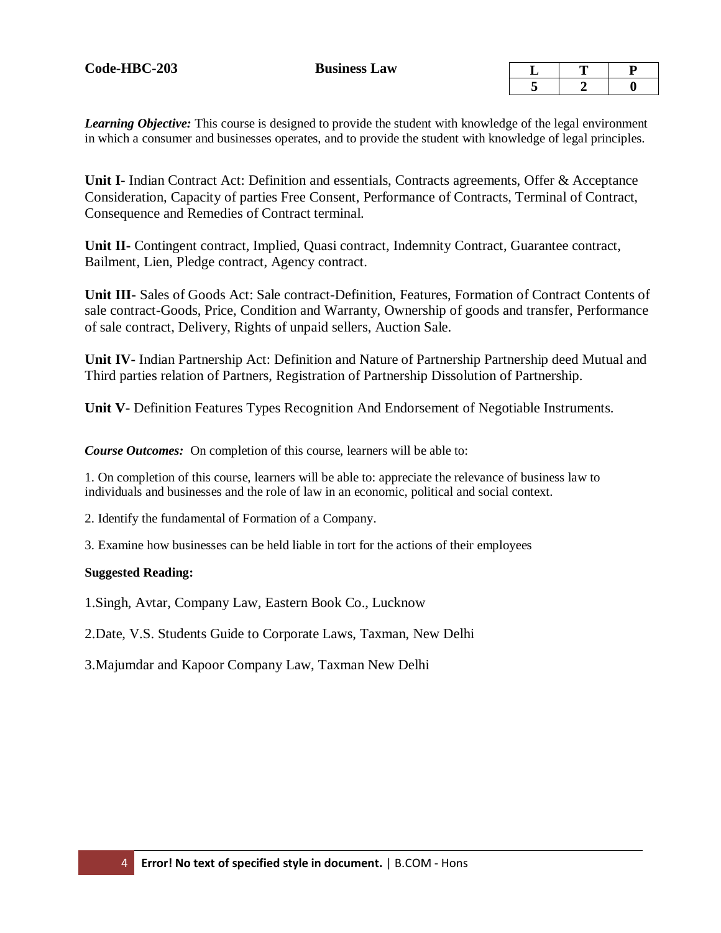*Learning Objective:* This course is designed to provide the student with knowledge of the legal environment in which a consumer and businesses operates, and to provide the student with knowledge of legal principles.

**Unit I-** Indian Contract Act: Definition and essentials, Contracts agreements, Offer & Acceptance Consideration, Capacity of parties Free Consent, Performance of Contracts, Terminal of Contract, Consequence and Remedies of Contract terminal.

**Unit II-** Contingent contract, Implied, Quasi contract, Indemnity Contract, Guarantee contract, Bailment, Lien, Pledge contract, Agency contract.

**Unit III-** Sales of Goods Act: Sale contract-Definition, Features, Formation of Contract Contents of sale contract-Goods, Price, Condition and Warranty, Ownership of goods and transfer, Performance of sale contract, Delivery, Rights of unpaid sellers, Auction Sale.

**Unit IV-** Indian Partnership Act: Definition and Nature of Partnership Partnership deed Mutual and Third parties relation of Partners, Registration of Partnership Dissolution of Partnership.

**Unit V-** Definition Features Types Recognition And Endorsement of Negotiable Instruments.

*Course Outcomes:* On completion of this course, learners will be able to:

1. On completion of this course, learners will be able to: appreciate the relevance of business law to individuals and businesses and the role of law in an economic, political and social context.

2. Identify the fundamental of Formation of a Company.

3. Examine how businesses can be held liable in tort for the actions of their employees

#### **Suggested Reading:**

1.Singh, Avtar, Company Law, Eastern Book Co., Lucknow

2.Date, V.S. Students Guide to Corporate Laws, Taxman, New Delhi

3.Majumdar and Kapoor Company Law, Taxman New Delhi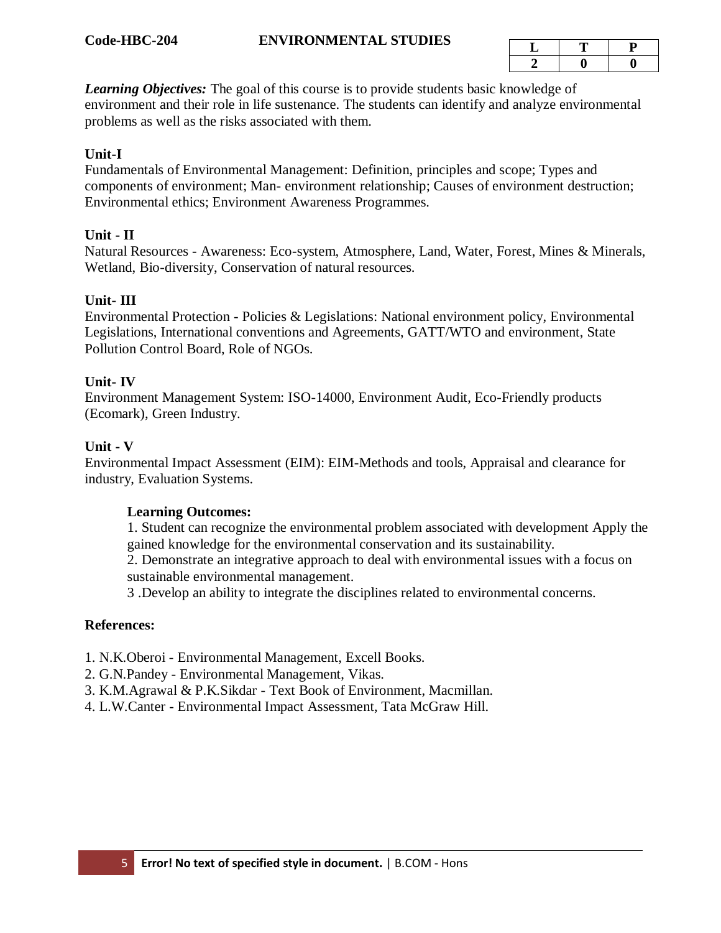*Learning Objectives:* The goal of this course is to provide students basic knowledge of environment and their role in life sustenance. The students can identify and analyze environmental problems as well as the risks associated with them.

#### **Unit-I**

Fundamentals of Environmental Management: Definition, principles and scope; Types and components of environment; Man- environment relationship; Causes of environment destruction; Environmental ethics; Environment Awareness Programmes.

#### **Unit - II**

Natural Resources - Awareness: Eco-system, Atmosphere, Land, Water, Forest, Mines & Minerals, Wetland, Bio-diversity, Conservation of natural resources.

#### **Unit- III**

Environmental Protection - Policies & Legislations: National environment policy, Environmental Legislations, International conventions and Agreements, GATT/WTO and environment, State Pollution Control Board, Role of NGOs.

#### **Unit- IV**

Environment Management System: ISO-14000, Environment Audit, Eco-Friendly products (Ecomark), Green Industry.

#### **Unit - V**

Environmental Impact Assessment (EIM): EIM-Methods and tools, Appraisal and clearance for industry, Evaluation Systems.

#### **Learning Outcomes:**

1. Student can recognize the environmental problem associated with development Apply the gained knowledge for the environmental conservation and its sustainability.

2. Demonstrate an integrative approach to deal with environmental issues with a focus on sustainable environmental management.

3 .Develop an ability to integrate the disciplines related to environmental concerns.

#### **References:**

- 1. N.K.Oberoi Environmental Management, Excell Books.
- 2. G.N.Pandey Environmental Management, Vikas.
- 3. K.M.Agrawal & P.K.Sikdar Text Book of Environment, Macmillan.
- 4. L.W.Canter Environmental Impact Assessment, Tata McGraw Hill.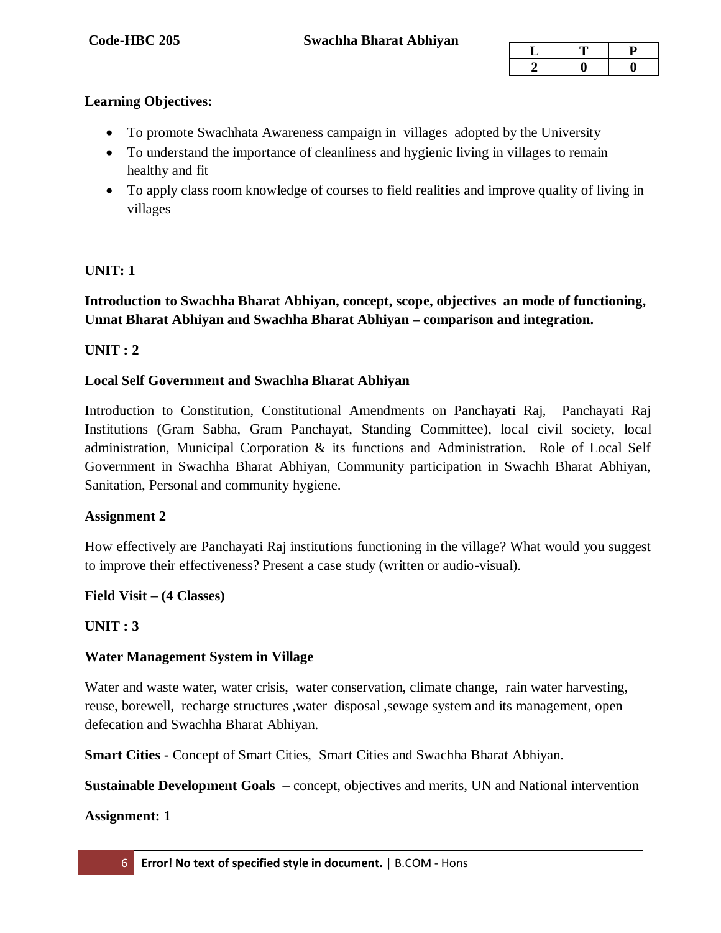# **Learning Objectives:**

- To promote Swachhata Awareness campaign in villages adopted by the University
- To understand the importance of cleanliness and hygienic living in villages to remain healthy and fit
- To apply class room knowledge of courses to field realities and improve quality of living in villages

# **UNIT: 1**

# **Introduction to Swachha Bharat Abhiyan, concept, scope, objectives an mode of functioning, Unnat Bharat Abhiyan and Swachha Bharat Abhiyan – comparison and integration.**

# **UNIT : 2**

# **Local Self Government and Swachha Bharat Abhiyan**

Introduction to Constitution, Constitutional Amendments on Panchayati Raj, Panchayati Raj Institutions (Gram Sabha, Gram Panchayat, Standing Committee), local civil society, local administration, Municipal Corporation & its functions and Administration. Role of Local Self Government in Swachha Bharat Abhiyan, Community participation in Swachh Bharat Abhiyan, Sanitation, Personal and community hygiene.

## **Assignment 2**

How effectively are Panchayati Raj institutions functioning in the village? What would you suggest to improve their effectiveness? Present a case study (written or audio-visual).

## **Field Visit – (4 Classes)**

## **UNIT : 3**

## **Water Management System in Village**

Water and waste water, water crisis, water conservation, climate change, rain water harvesting, reuse, borewell, recharge structures ,water disposal ,sewage system and its management, open defecation and Swachha Bharat Abhiyan.

**Smart Cities -** Concept of Smart Cities, Smart Cities and Swachha Bharat Abhiyan.

**Sustainable Development Goals** – concept, objectives and merits, UN and National intervention

## **Assignment: 1**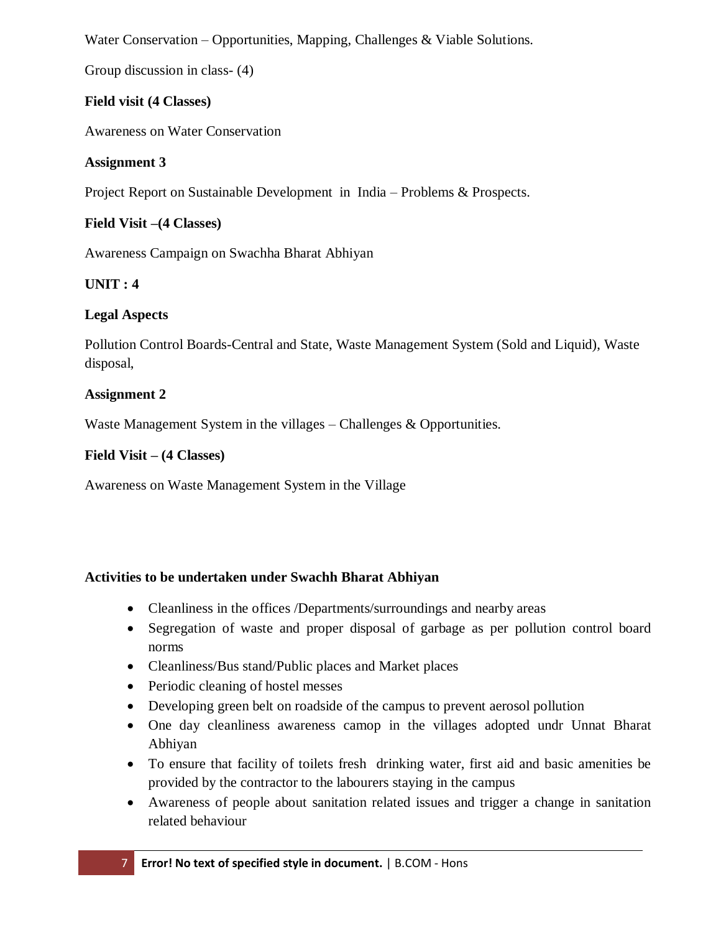Water Conservation – Opportunities, Mapping, Challenges & Viable Solutions.

Group discussion in class- (4)

# **Field visit (4 Classes)**

Awareness on Water Conservation

# **Assignment 3**

Project Report on Sustainable Development in India – Problems & Prospects.

# **Field Visit –(4 Classes)**

Awareness Campaign on Swachha Bharat Abhiyan

# **UNIT : 4**

# **Legal Aspects**

Pollution Control Boards-Central and State, Waste Management System (Sold and Liquid), Waste disposal,

# **Assignment 2**

Waste Management System in the villages – Challenges & Opportunities.

# **Field Visit – (4 Classes)**

Awareness on Waste Management System in the Village

# **Activities to be undertaken under Swachh Bharat Abhiyan**

- Cleanliness in the offices /Departments/surroundings and nearby areas
- Segregation of waste and proper disposal of garbage as per pollution control board norms
- Cleanliness/Bus stand/Public places and Market places
- Periodic cleaning of hostel messes
- Developing green belt on roadside of the campus to prevent aerosol pollution
- One day cleanliness awareness camop in the villages adopted undr Unnat Bharat Abhiyan
- To ensure that facility of toilets fresh drinking water, first aid and basic amenities be provided by the contractor to the labourers staying in the campus
- Awareness of people about sanitation related issues and trigger a change in sanitation related behaviour